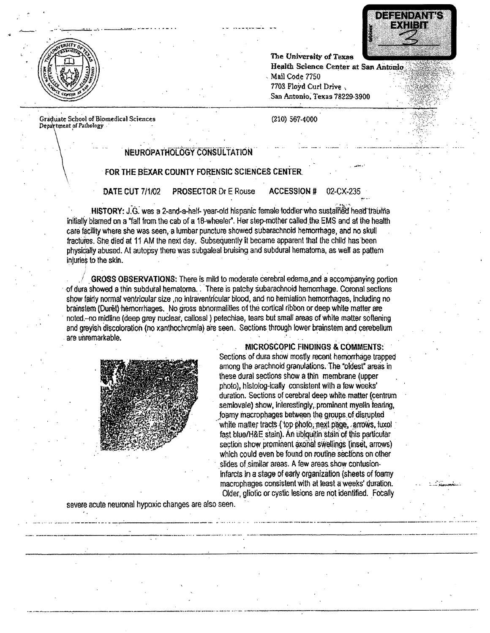

The University of Texas Health Science Center at San Antonio Mail Code 7750 7703 Floyd Curl Drive San Antonio, Texas 78229-3900

Graduate School of Biomedical Science p1 Patiology

Depnt

(210) 567-4000

## NEUROPATHOLOGY CONSULTATION

### FOR THE BEXAR COUNTY FORENSIC SCIENCES CENTER

DATE CUT  $7/1/02$  PROSECTOR Dr E Rouse ACCESSION # 02-CX-235

HISTORY: J.G. was a 2-and-a-half- year-old hispanic female toddler who sustained head trauma initially blamed on a "fall from the cab of a 18-wheeler". Her step-mother called the EMS and at the health care facility where she was seen, a lumbar puncture showed subarachnoid hemorrhage, and no skull fractures. She died at 11 AM the next day. Subsequently it became apparent that the child has been physically abused. At autopsy there was subgaleal bruising and subdural hernatorna, as well as pattern injuries to the skin.

GROSS OBSERVATIONS: There is mild to moderate cerebral edema, and a accompanying portion of dura showed a thin subdural hematoma. There is patchy subarachnoid hemorrhage. Coronal sections show fairly normal ventricular size ,no intraventricular blood, and no hemialion hemorrhages, including no brainstem (Durêt) hemorrhages. No gross abnormalities of the cortical ribbon or deep white matter are noted,-no midline (deep grey nuclear, callosal) petechiae, tears but small areas of white matter softening and greyish discoloration (no xanthochromia) are seen. Sections through lower brainstem and cerebellum are uhremarkable



#### MICROSCOPIC FINDINGS & COMMENTS:

Sections of dura show mostly recent hemorrhage trapped among the arachnoid granulations. The "oldest" areas in these dural sections show a thin membrane (upper photo), histolog-ically consistent with a few weeks' duration. Sections of cerebral deep white matter (centrum semiovale) show, interestingly, prominent myelin fearing, foamy macrophages between the groups of disrupted white matter tracts (top photo, next page, arrows, luxol fast blue/H&E stain). An ubiquitin stain of this particular section show prominent axohal swellings (inset, arrows) which could even be found on routine sections on other slides of similar areas. A few areas show contusioninfarcts in a stage of early organization (sheets of foamy macrophages consistent with at least a weeks' duration. Older, gliotic or cystic lesions are not identified. Focally

severe acute neuronal hypoxic changes are also seen